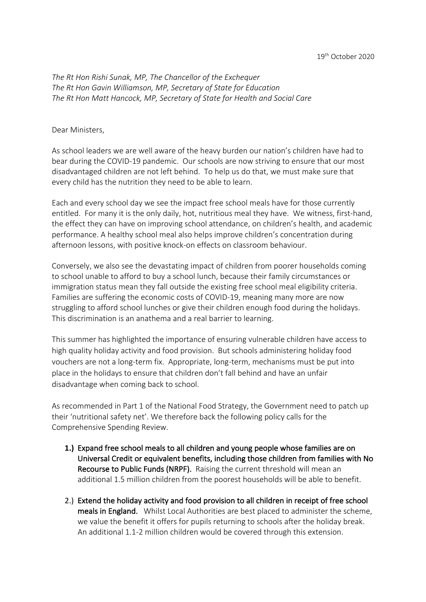*The Rt Hon Rishi Sunak, MP, The Chancellor of the Exchequer The Rt Hon Gavin Williamson, MP, Secretary of State for Education The Rt Hon Matt Hancock, MP, Secretary of State for Health and Social Care*

## Dear Ministers,

As school leaders we are well aware of the heavy burden our nation's children have had to bear during the COVID-19 pandemic. Our schools are now striving to ensure that our most disadvantaged children are not left behind. To help us do that, we must make sure that every child has the nutrition they need to be able to learn.

Each and every school day we see the impact free school meals have for those currently entitled. For many it is the only daily, hot, nutritious meal they have. We witness, first-hand, the effect they can have on improving school attendance, on children's health, and academic performance. A healthy school meal also helps improve children's concentration during afternoon lessons, with positive knock-on effects on classroom behaviour.

Conversely, we also see the devastating impact of children from poorer households coming to school unable to afford to buy a school lunch, because their family circumstances or immigration status mean they fall outside the existing free school meal eligibility criteria. Families are suffering the economic costs of COVID-19, meaning many more are now struggling to afford school lunches or give their children enough food during the holidays. This discrimination is an anathema and a real barrier to learning.

This summer has highlighted the importance of ensuring vulnerable children have access to high quality holiday activity and food provision. But schools administering holiday food vouchers are not a long-term fix. Appropriate, long-term, mechanisms must be put into place in the holidays to ensure that children don't fall behind and have an unfair disadvantage when coming back to school.

As recommended in Part 1 of the National Food Strategy, the Government need to patch up their 'nutritional safety net'. We therefore back the following policy calls for the Comprehensive Spending Review.

- **1.)** Expand free school meals to all children and young people whose families are on Universal Credit or equivalent benefits, including those children from families with No Recourse to Public Funds (NRPF). Raising the current threshold will mean an additional 1.5 million children from the poorest households will be able to benefit.
- 2.) Extend the holiday activity and food provision to all children in receipt of free school meals in England. Whilst Local Authorities are best placed to administer the scheme, we value the benefit it offers for pupils returning to schools after the holiday break. An additional 1.1-2 million children would be covered through this extension.